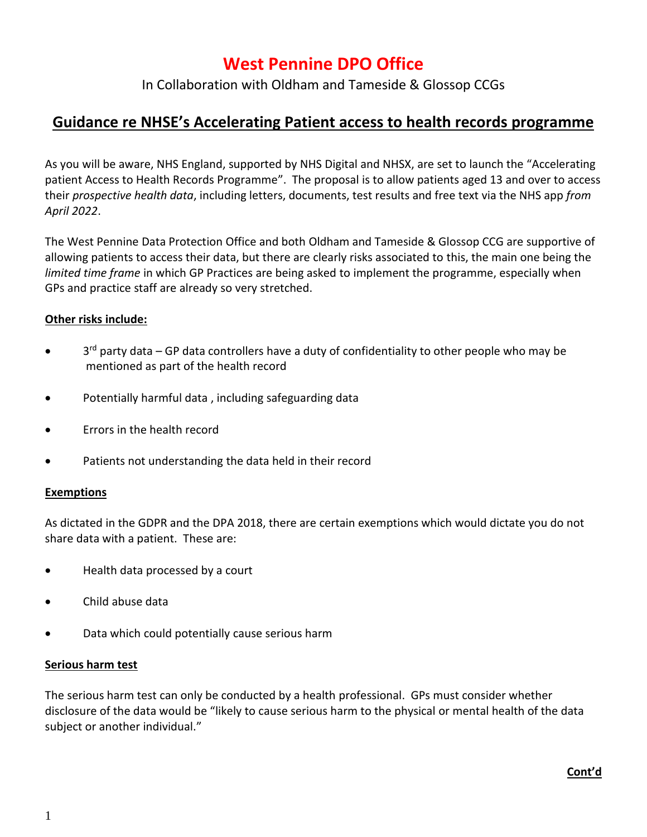# **West Pennine DPO Office**

In Collaboration with Oldham and Tameside & Glossop CCGs

## **Guidance re NHSE's Accelerating Patient access to health records programme**

As you will be aware, NHS England, supported by NHS Digital and NHSX, are set to launch the "Accelerating patient Access to Health Records Programme". The proposal is to allow patients aged 13 and over to access their *prospective health data*, including letters, documents, test results and free text via the NHS app *from April 2022*.

The West Pennine Data Protection Office and both Oldham and Tameside & Glossop CCG are supportive of allowing patients to access their data, but there are clearly risks associated to this, the main one being the *limited time frame* in which GP Practices are being asked to implement the programme, especially when GPs and practice staff are already so very stretched.

## **Other risks include:**

- 3<sup>rd</sup> party data GP data controllers have a duty of confidentiality to other people who may be mentioned as part of the health record
- Potentially harmful data , including safeguarding data
- Errors in the health record
- Patients not understanding the data held in their record

#### **Exemptions**

As dictated in the GDPR and the DPA 2018, there are certain exemptions which would dictate you do not share data with a patient. These are:

- Health data processed by a court
- Child abuse data
- Data which could potentially cause serious harm

#### **Serious harm test**

The serious harm test can only be conducted by a health professional. GPs must consider whether disclosure of the data would be "likely to cause serious harm to the physical or mental health of the data subject or another individual."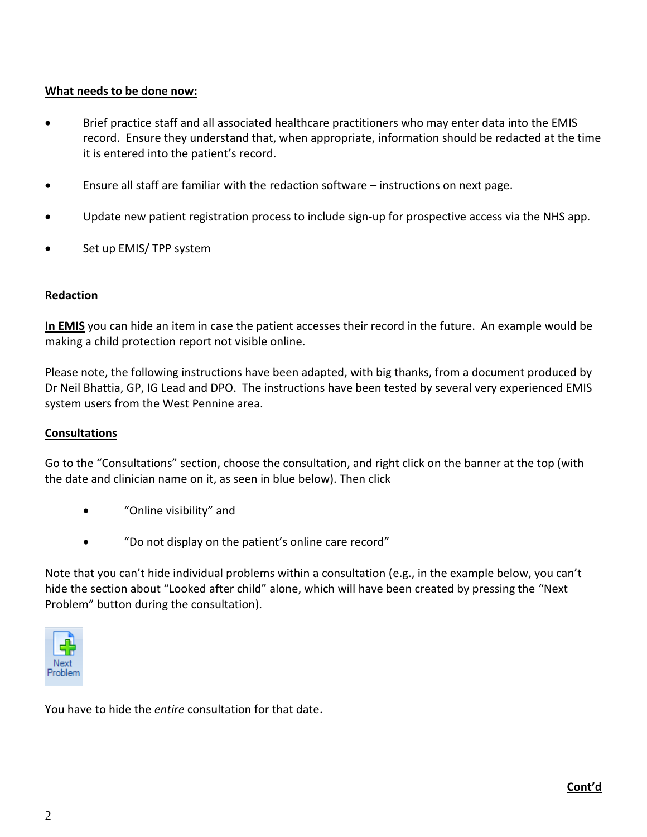## **What needs to be done now:**

- Brief practice staff and all associated healthcare practitioners who may enter data into the EMIS record. Ensure they understand that, when appropriate, information should be redacted at the time it is entered into the patient's record.
- Ensure all staff are familiar with the redaction software instructions on next page.
- Update new patient registration process to include sign-up for prospective access via the NHS app.
- Set up EMIS/TPP system

## **Redaction**

**In EMIS** you can hide an item in case the patient accesses their record in the future. An example would be making a child protection report not visible online.

Please note, the following instructions have been adapted, with big thanks, from a document produced by Dr Neil Bhattia, GP, IG Lead and DPO. The instructions have been tested by several very experienced EMIS system users from the West Pennine area.

## **Consultations**

Go to the "Consultations" section, choose the consultation, and right click on the banner at the top (with the date and clinician name on it, as seen in blue below). Then click

- "Online visibility" and
- "Do not display on the patient's online care record"

Note that you can't hide individual problems within a consultation (e.g., in the example below, you can't hide the section about "Looked after child" alone, which will have been created by pressing the "Next Problem" button during the consultation).



You have to hide the *entire* consultation for that date.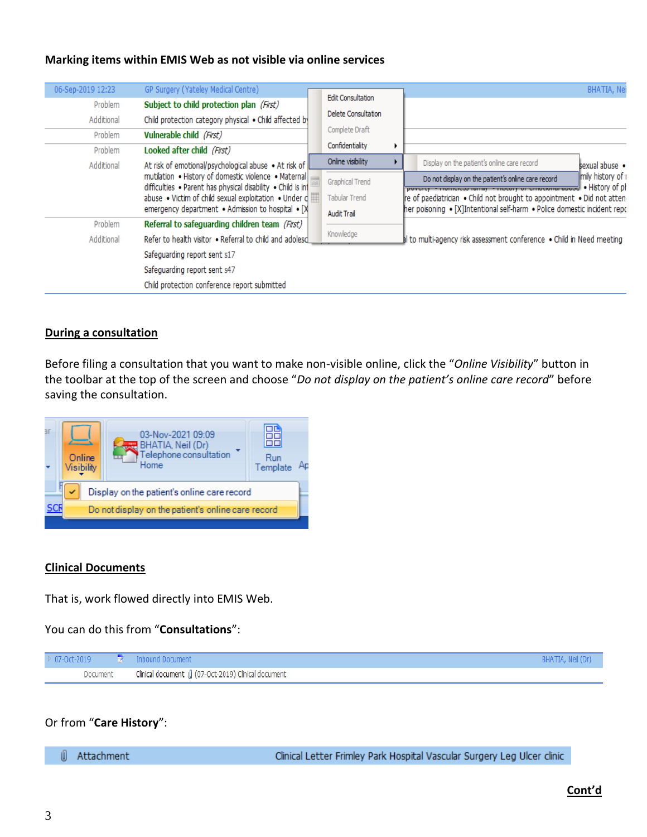#### **Marking items within EMIS Web as not visible via online services**

| 06-Sep-2019 12:23<br>Problem<br>Additional                            | GP Surgery (Yateley Medical Centre)<br>Subject to child protection plan (First)<br>Child protection category physical . Child affected by                                                                                                                                                   |  | <b>Edit Consultation</b><br>Delete Consultation<br>Complete Draft    |  | BHATIA, Nei                                                                                                                                                                                                                  |  |  |
|-----------------------------------------------------------------------|---------------------------------------------------------------------------------------------------------------------------------------------------------------------------------------------------------------------------------------------------------------------------------------------|--|----------------------------------------------------------------------|--|------------------------------------------------------------------------------------------------------------------------------------------------------------------------------------------------------------------------------|--|--|
| Vulnerable child (First)<br>Problem                                   |                                                                                                                                                                                                                                                                                             |  | Confidentiality                                                      |  |                                                                                                                                                                                                                              |  |  |
| Looked after child (First)<br>Problem                                 |                                                                                                                                                                                                                                                                                             |  | Online visibility                                                    |  |                                                                                                                                                                                                                              |  |  |
| Additional                                                            | At risk of emotional/psychological abuse • At risk of<br>mutilation . History of domestic violence . Maternal<br>difficulties . Parent has physical disability . Child is in<br>abuse . Victim of child sexual exploitation . Under c<br>emergency department . Admission to hospital . [X] |  |                                                                      |  | Display on the patient's online care record<br>sexual abuse •                                                                                                                                                                |  |  |
|                                                                       |                                                                                                                                                                                                                                                                                             |  | <b>Graphical Trend</b>                                               |  | Imily history of r<br>Do not display on the patient's online care record                                                                                                                                                     |  |  |
|                                                                       |                                                                                                                                                                                                                                                                                             |  | <b>Tabular Trend</b>                                                 |  | povercy - nomercas raminy - mocory or emocromar abased . History of ph<br>re of paediatrician . Child not brought to appointment . Did not atten<br>her poisoning • [X]Intentional self-harm • Police domestic incident repo |  |  |
|                                                                       | Referral to safeguarding children team (First)<br>Problem                                                                                                                                                                                                                                   |  | <b>Audit Trail</b>                                                   |  |                                                                                                                                                                                                                              |  |  |
|                                                                       |                                                                                                                                                                                                                                                                                             |  | Knowledge                                                            |  |                                                                                                                                                                                                                              |  |  |
| Refer to health visitor . Referral to child and adolesd<br>Additional |                                                                                                                                                                                                                                                                                             |  | I to multi-agency risk assessment conference . Child in Need meeting |  |                                                                                                                                                                                                                              |  |  |
| Safeguarding report sent s17                                          |                                                                                                                                                                                                                                                                                             |  |                                                                      |  |                                                                                                                                                                                                                              |  |  |
| Safeguarding report sent s47                                          |                                                                                                                                                                                                                                                                                             |  |                                                                      |  |                                                                                                                                                                                                                              |  |  |
|                                                                       | Child protection conference report submitted                                                                                                                                                                                                                                                |  |                                                                      |  |                                                                                                                                                                                                                              |  |  |

#### **During a consultation**

Before filing a consultation that you want to make non-visible online, click the "*Online Visibility*" button in the toolbar at the top of the screen and choose "*Do not display on the patient's online care record*" before saving the consultation.



#### **Clinical Documents**

That is, work flowed directly into EMIS Web.

You can do this from "**Consultations**":



Or from "**Care History**":

U. Attachment Clinical Letter Frimley Park Hospital Vascular Surgery Leg Ulcer clinic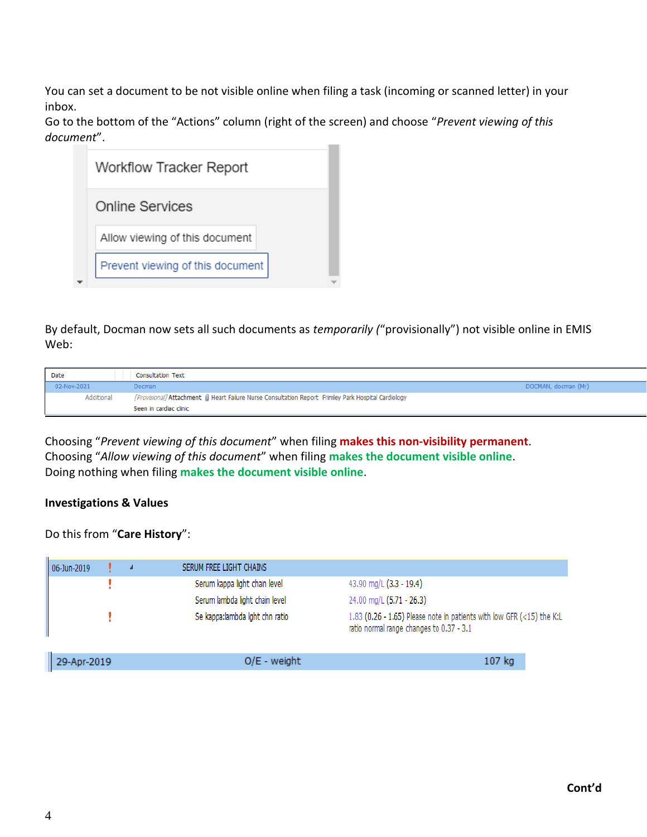You can set a document to be not visible online when filing a task (incoming or scanned letter) in your inbox.

Go to the bottom of the "Actions" column (right of the screen) and choose "*Prevent viewing of this document*".  $\sim$ 

| Workflow Tracker Report          |  |  |
|----------------------------------|--|--|
| Online Services                  |  |  |
| Allow viewing of this document   |  |  |
| Prevent viewing of this document |  |  |

By default, Docman now sets all such documents as *temporarily (*"provisionally") not visible online in EMIS Web:

| <b>Date</b> | <b>Consultation Text</b>                                                                               |                     |
|-------------|--------------------------------------------------------------------------------------------------------|---------------------|
| 02-Nov-2021 | <b>Docman</b>                                                                                          | DOCMAN, docman (Mr) |
| Additional  | [Provisional] Attachment (ii) Heart Failure Nurse Consultation Report Frimley Park Hospital Cardiology |                     |
|             | Seen in cardiac clinic                                                                                 |                     |

Choosing "*Prevent viewing of this document*" when filing **makes this non-visibility permanent**. Choosing "*Allow viewing of this document*" when filing **makes the document visible online**. Doing nothing when filing **makes the document visible online**.

## **Investigations & Values**

## Do this from "**Care History**":

| 06-Jun-2019 | ◢ | SERUM FREE LIGHT CHAINS         |                                                                                                                   |
|-------------|---|---------------------------------|-------------------------------------------------------------------------------------------------------------------|
|             |   | Serum kappa light chain level   | 43.90 mg/L (3.3 - 19.4)                                                                                           |
|             |   | Serum lambda light chain level  | 24.00 mg/L (5.71 - 26.3)                                                                                          |
|             |   | Se kappa: lambda lght chn ratio | 1.83 (0.26 - 1.65) Please note in patients with low GFR (<15) the K:L<br>ratio normal range changes to 0.37 - 3.1 |
| 29-Apr-2019 |   | $O/E - weight$                  | 107 kg                                                                                                            |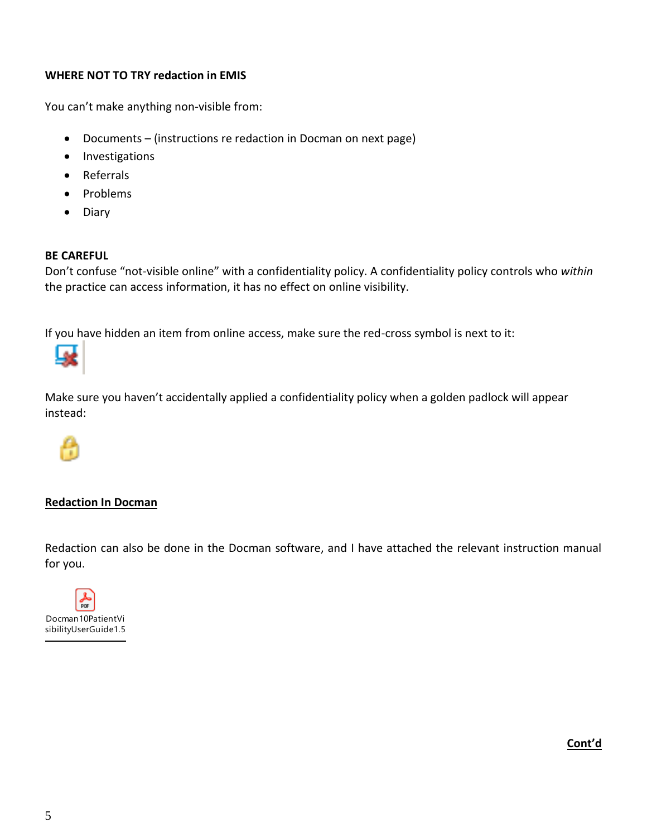## **WHERE NOT TO TRY redaction in EMIS**

You can't make anything non-visible from:

- Documents (instructions re redaction in Docman on next page)
- Investigations
- Referrals
- Problems
- Diary

### **BE CAREFUL**

Don't confuse "not-visible online" with a confidentiality policy. A confidentiality policy controls who *within* the practice can access information, it has no effect on online visibility.

If you have hidden an item from online access, make sure the red-cross symbol is next to it:



Make sure you haven't accidentally applied a confidentiality policy when a golden padlock will appear instead:



## **Redaction In Docman**

Redaction can also be done in the Docman software, and I have attached the relevant instruction manual for you.



**Cont'd**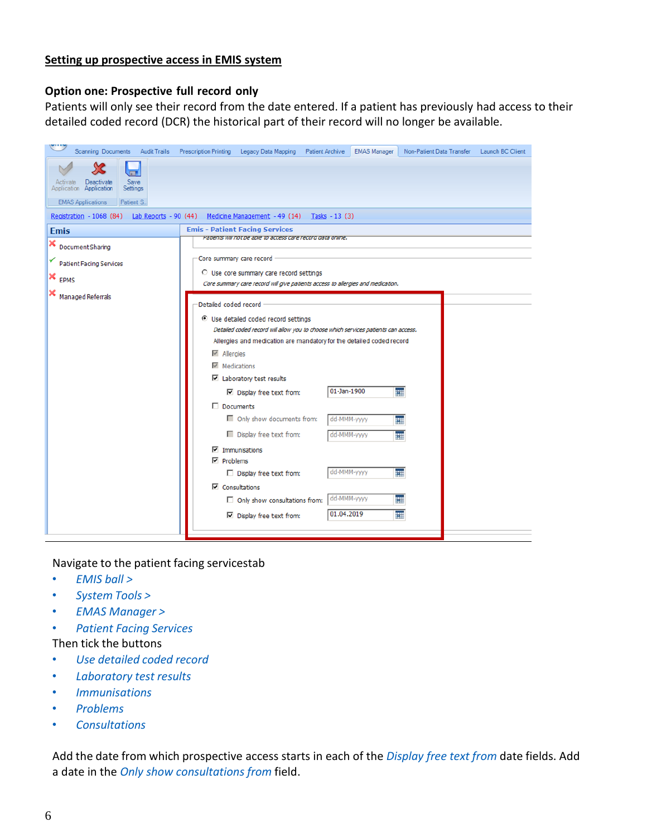#### **Setting up prospective access in EMIS system**

#### **Option one: Prospective full record only**

Patients will only see their record from the date entered. If a patient has previously had access to their detailed coded record (DCR) the historical part of their record will no longer be available.

| Scanning Documents<br><b>Audit Trails</b>                                                                           | <b>Prescription Printing</b><br>Legacy Data Mapping<br><b>EMAS Manager</b><br><b>Patient Archive</b><br>Non-Patient Data Transfer<br>Launch BC Client                                                                                                                                                                                                                                                                                                                                                                                                                                                                                                                                                                                   |
|---------------------------------------------------------------------------------------------------------------------|-----------------------------------------------------------------------------------------------------------------------------------------------------------------------------------------------------------------------------------------------------------------------------------------------------------------------------------------------------------------------------------------------------------------------------------------------------------------------------------------------------------------------------------------------------------------------------------------------------------------------------------------------------------------------------------------------------------------------------------------|
| <b>Save</b><br>Activate Deactivate<br>Application Application<br>Settings<br><b>EMAS Applications</b><br>Patient S. |                                                                                                                                                                                                                                                                                                                                                                                                                                                                                                                                                                                                                                                                                                                                         |
| Lab Reports - 90 (44)<br>Registration - 1068 (84)                                                                   | Medicine Management - 49 (14) Tasks - 13 (3)                                                                                                                                                                                                                                                                                                                                                                                                                                                                                                                                                                                                                                                                                            |
| <b>Emis</b>                                                                                                         | <b>Emis - Patient Facing Services</b><br>Patients will not be able to access care record data online.                                                                                                                                                                                                                                                                                                                                                                                                                                                                                                                                                                                                                                   |
| ×<br>Document Sharing<br><b>Patient Facing Services</b><br>×<br><b>EPMS</b>                                         | Core summary care record<br>C Use core summary care record settings<br>Core summary care record will give patients access to allergies and medication.                                                                                                                                                                                                                                                                                                                                                                                                                                                                                                                                                                                  |
| Managed Referrals                                                                                                   | Detailed coded record<br>C Use detailed coded record settings<br>Detailed coded record will allow you to choose which services patients can access.<br>Allergies and medication are mandatory for the detailed coded record<br>$\overline{\vee}$ Allergies<br>$\nabla$ Medications<br>$\boxdot$ Laboratory test results<br>01-Jan-1900<br>m<br>$\nabla$ Display free text from:<br>$\Box$ Documents<br>Only show documents from:<br>dd-MMM-yyyy<br>無<br>Display free text from:<br>dd-MMM-yyyy<br>m<br>$\nabla$ Immunisations<br>$\nabla$ Problems<br>dd-MMM-yyyy<br>ឝ<br>Display free text from:<br>$\nabla$ Consultations<br>dd-MMM-yyyy<br>m<br>$\Box$ Only show consultations from:<br>01.04.2019<br>m<br>□ Display free text from: |

Navigate to the patient facing servicestab

- *EMIS ball >*
- *System Tools >*
- *EMAS Manager >*
- *Patient Facing Services*
- Then tick the buttons
- *Use detailed coded record*
- *Laboratory test results*
- *Immunisations*
- *Problems*
- *Consultations*

Add the date from which prospective access starts in each of the *Display free text from* date fields. Add a date in the *Only show consultations from* field.